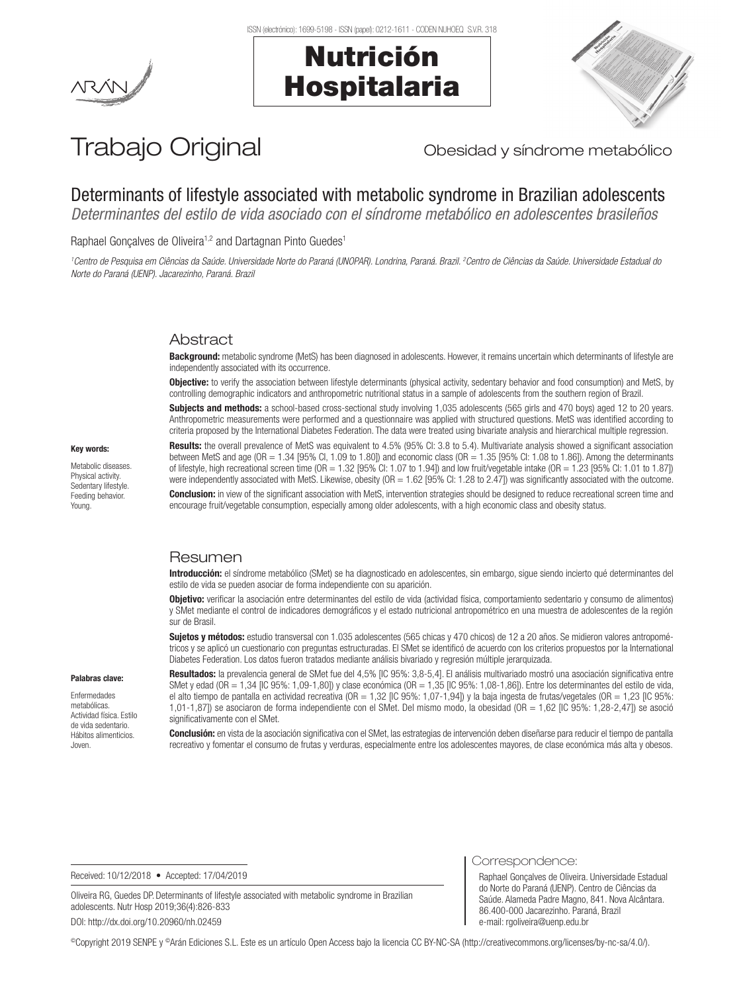



# Trabajo Original **Trabajo Original** Obesidad y síndrome metabólico

# Determinants of lifestyle associated with metabolic syndrome in Brazilian adolescents

*Determinantes del estilo de vida asociado con el síndrome metabólico en adolescentes brasileños*

Raphael Gonçalves de Oliveira<sup>1,2</sup> and Dartagnan Pinto Guedes<sup>1</sup>

*1 Centro de Pesquisa em Ciências da Saúde. Universidade Norte do Paraná (UNOPAR). Londrina, Paraná. Brazil. 2 Centro de Ciências da Saúde. Universidade Estadual do Norte do Paraná (UENP). Jacarezinho, Paraná. Brazil*

# Abstract

Background: metabolic syndrome (MetS) has been diagnosed in adolescents. However, it remains uncertain which determinants of lifestyle are independently associated with its occurrence.

**Objective:** to verify the association between lifestyle determinants (physical activity, sedentary behavior and food consumption) and MetS, by controlling demographic indicators and anthropometric nutritional status in a sample of adolescents from the southern region of Brazil.

Subjects and methods: a school-based cross-sectional study involving 1,035 adolescents (565 girls and 470 boys) aged 12 to 20 years. Anthropometric measurements were performed and a questionnaire was applied with structured questions. MetS was identified according to criteria proposed by the International Diabetes Federation. The data were treated using bivariate analysis and hierarchical multiple regression.

Key words:

Metabolic diseases. Physical activity. Sedentary lifestyle. Feeding behavior. Young.

Palabras clave: Enfermedades metabólicas. Actividad física. Estilo de vida sedentario. Hábitos alimenticios. Joven.

Results: the overall prevalence of MetS was equivalent to 4.5% (95% CI: 3.8 to 5.4). Multivariate analysis showed a significant association between MetS and age (OR = 1.34 [95% CI, 1.09 to 1.80]) and economic class (OR = 1.35 [95% CI: 1.08 to 1.86]). Among the determinants of lifestyle, high recreational screen time (OR =  $1.32$  [95% Cl:  $1.07$  to  $1.94$ ]) and low fruit/vegetable intake (OR =  $1.23$  [95% Cl:  $1.01$  to  $1.87$ ]) were independently associated with MetS. Likewise, obesity (OR = 1.62 [95% CI: 1.28 to 2.47]) was significantly associated with the outcome. Conclusion: in view of the significant association with MetS, intervention strategies should be designed to reduce recreational screen time and encourage fruit/vegetable consumption, especially among older adolescents, with a high economic class and obesity status.

# Resumen

Introducción: el síndrome metabólico (SMet) se ha diagnosticado en adolescentes, sin embargo, sigue siendo incierto qué determinantes del estilo de vida se pueden asociar de forma independiente con su aparición.

Objetivo: verificar la asociación entre determinantes del estilo de vida (actividad física, comportamiento sedentario y consumo de alimentos) y SMet mediante el control de indicadores demográficos y el estado nutricional antropométrico en una muestra de adolescentes de la región sur de Brasil.

Sujetos y métodos: estudio transversal con 1.035 adolescentes (565 chicas y 470 chicos) de 12 a 20 años. Se midieron valores antropométricos y se aplicó un cuestionario con preguntas estructuradas. El SMet se identificó de acuerdo con los criterios propuestos por la International Diabetes Federation. Los datos fueron tratados mediante análisis bivariado y regresión múltiple jerarquizada.

Resultados: la prevalencia general de SMet fue del 4,5% [IC 95%: 3,8-5,4]. El análisis multivariado mostró una asociación significativa entre SMet y edad (OR = 1,34 [IC 95%: 1,09-1,80]) y clase económica (OR = 1,35 [IC 95%: 1,08-1,86]). Entre los determinantes del estilo de vida, el alto tiempo de pantalla en actividad recreativa (OR = 1,32 [IC 95%: 1,07-1,94]) y la baja ingesta de frutas/vegetales (OR = 1,23 [IC 95%: 1,01-1,87]) se asociaron de forma independiente con el SMet. Del mismo modo, la obesidad (OR = 1,62 [IC 95%: 1,28-2,47]) se asoció significativamente con el SMet.

Conclusión: en vista de la asociación significativa con el SMet, las estrategias de intervención deben diseñarse para reducir el tiempo de pantalla recreativo y fomentar el consumo de frutas y verduras, especialmente entre los adolescentes mayores, de clase económica más alta y obesos.

Received: 10/12/2018 • Accepted: 17/04/2019

Oliveira RG, Guedes DP. Determinants of lifestyle associated with metabolic syndrome in Brazilian adolescents. Nutr Hosp 2019;36(4):826-833 DOI: http://dx.doi.org/10.20960/nh.02459

Correspondence:

Raphael Gonçalves de Oliveira. Universidade Estadual do Norte do Paraná (UENP). Centro de Ciências da Saúde. Alameda Padre Magno, 841. Nova Alcântara. 86.400-000 Jacarezinho. Paraná, Brazil e-mail: rgoliveira@uenp.edu.br

©Copyright 2019 SENPE y ©Arán Ediciones S.L. Este es un artículo Open Access bajo la licencia CC BY-NC-SA (http://creativecommons.org/licenses/by-nc-sa/4.0/).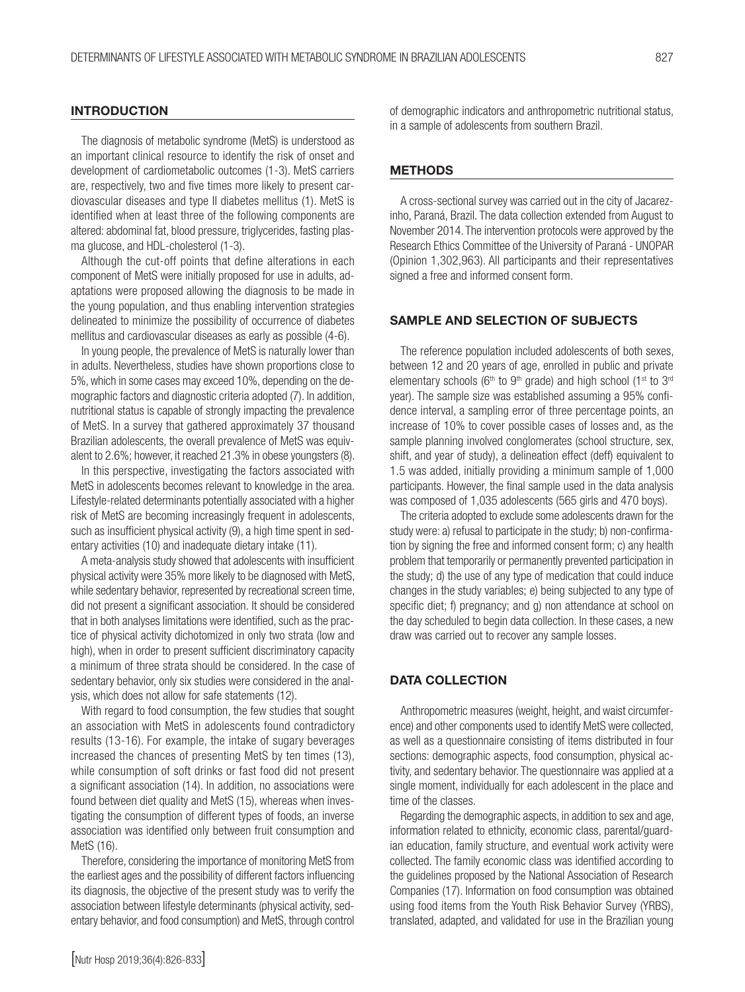### **INTRODUCTION**

The diagnosis of metabolic syndrome (MetS) is understood as an important clinical resource to identify the risk of onset and development of cardiometabolic outcomes (1-3). MetS carriers are, respectively, two and five times more likely to present cardiovascular diseases and type II diabetes mellitus (1). MetS is identified when at least three of the following components are altered: abdominal fat, blood pressure, triglycerides, fasting plasma glucose, and HDL-cholesterol (1-3).

Although the cut-off points that define alterations in each component of MetS were initially proposed for use in adults, adaptations were proposed allowing the diagnosis to be made in the young population, and thus enabling intervention strategies delineated to minimize the possibility of occurrence of diabetes mellitus and cardiovascular diseases as early as possible (4-6).

In young people, the prevalence of MetS is naturally lower than in adults. Nevertheless, studies have shown proportions close to 5%, which in some cases may exceed 10%, depending on the demographic factors and diagnostic criteria adopted (7). In addition, nutritional status is capable of strongly impacting the prevalence of MetS. In a survey that gathered approximately 37 thousand Brazilian adolescents, the overall prevalence of MetS was equivalent to 2.6%; however, it reached 21.3% in obese youngsters (8).

In this perspective, investigating the factors associated with MetS in adolescents becomes relevant to knowledge in the area. Lifestyle-related determinants potentially associated with a higher risk of MetS are becoming increasingly frequent in adolescents, such as insufficient physical activity (9), a high time spent in sedentary activities (10) and inadequate dietary intake (11).

A meta-analysis study showed that adolescents with insufficient physical activity were 35% more likely to be diagnosed with MetS, while sedentary behavior, represented by recreational screen time, did not present a significant association. It should be considered that in both analyses limitations were identified, such as the practice of physical activity dichotomized in only two strata (low and high), when in order to present sufficient discriminatory capacity a minimum of three strata should be considered. In the case of sedentary behavior, only six studies were considered in the analysis, which does not allow for safe statements (12).

With regard to food consumption, the few studies that sought an association with MetS in adolescents found contradictory results (13-16). For example, the intake of sugary beverages increased the chances of presenting MetS by ten times (13), while consumption of soft drinks or fast food did not present a significant association (14). In addition, no associations were found between diet quality and MetS (15), whereas when investigating the consumption of different types of foods, an inverse association was identified only between fruit consumption and MetS (16).

Therefore, considering the importance of monitoring MetS from the earliest ages and the possibility of different factors influencing its diagnosis, the objective of the present study was to verify the association between lifestyle determinants (physical activity, sedentary behavior, and food consumption) and MetS, through control of demographic indicators and anthropometric nutritional status, in a sample of adolescents from southern Brazil.

#### METHODS

A cross-sectional survey was carried out in the city of Jacarezinho, Paraná, Brazil. The data collection extended from August to November 2014. The intervention protocols were approved by the Research Ethics Committee of the University of Paraná - UNOPAR (Opinion 1,302,963). All participants and their representatives signed a free and informed consent form.

#### SAMPLE AND SELECTION OF SUBJECTS

The reference population included adolescents of both sexes, between 12 and 20 years of age, enrolled in public and private elementary schools ( $6<sup>th</sup>$  to  $9<sup>th</sup>$  grade) and high school (1<sup>st</sup> to  $3<sup>rd</sup>$ year). The sample size was established assuming a 95% confidence interval, a sampling error of three percentage points, an increase of 10% to cover possible cases of losses and, as the sample planning involved conglomerates (school structure, sex, shift, and year of study), a delineation effect (deff) equivalent to 1.5 was added, initially providing a minimum sample of 1,000 participants. However, the final sample used in the data analysis was composed of 1,035 adolescents (565 girls and 470 boys).

The criteria adopted to exclude some adolescents drawn for the study were: a) refusal to participate in the study; b) non-confirmation by signing the free and informed consent form; c) any health problem that temporarily or permanently prevented participation in the study; d) the use of any type of medication that could induce changes in the study variables; e) being subjected to any type of specific diet; f) pregnancy; and g) non attendance at school on the day scheduled to begin data collection. In these cases, a new draw was carried out to recover any sample losses.

#### DATA COLLECTION

Anthropometric measures (weight, height, and waist circumference) and other components used to identify MetS were collected, as well as a questionnaire consisting of items distributed in four sections: demographic aspects, food consumption, physical activity, and sedentary behavior. The questionnaire was applied at a single moment, individually for each adolescent in the place and time of the classes.

Regarding the demographic aspects, in addition to sex and age, information related to ethnicity, economic class, parental/guardian education, family structure, and eventual work activity were collected. The family economic class was identified according to the guidelines proposed by the National Association of Research Companies (17). Information on food consumption was obtained using food items from the Youth Risk Behavior Survey (YRBS), translated, adapted, and validated for use in the Brazilian young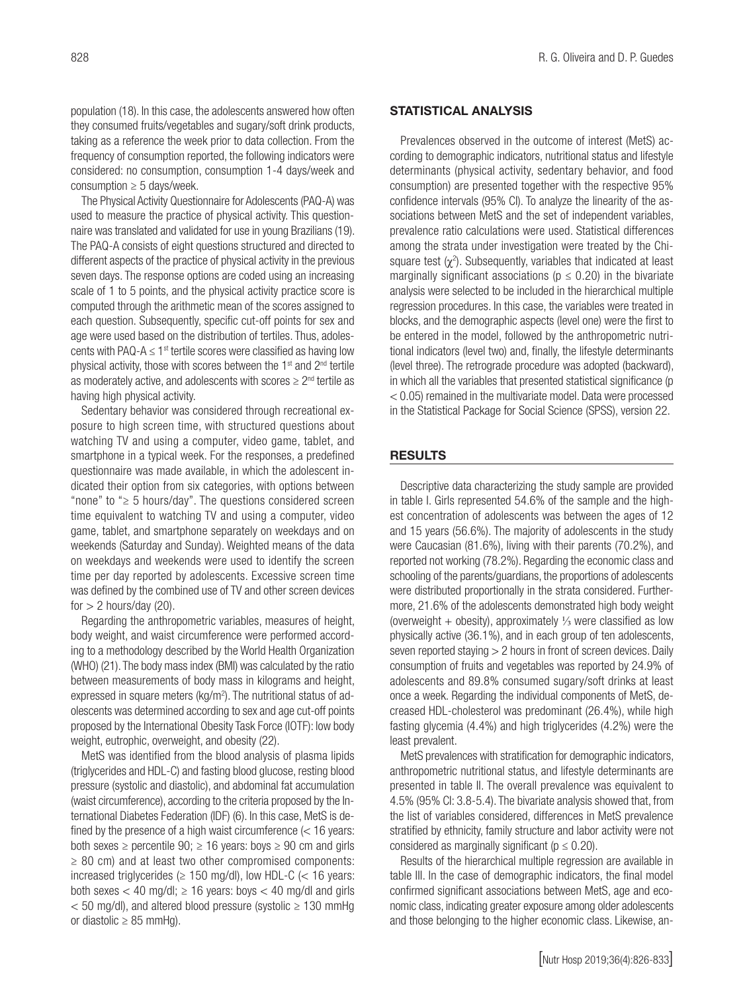population (18). In this case, the adolescents answered how often they consumed fruits/vegetables and sugary/soft drink products, taking as a reference the week prior to data collection. From the frequency of consumption reported, the following indicators were considered: no consumption, consumption 1-4 days/week and consumption  $\geq 5$  days/week.

The Physical Activity Questionnaire for Adolescents (PAQ-A) was used to measure the practice of physical activity. This questionnaire was translated and validated for use in young Brazilians (19). The PAQ-A consists of eight questions structured and directed to different aspects of the practice of physical activity in the previous seven days. The response options are coded using an increasing scale of 1 to 5 points, and the physical activity practice score is computed through the arithmetic mean of the scores assigned to each question. Subsequently, specific cut-off points for sex and age were used based on the distribution of tertiles. Thus, adolescents with PAQ-A  $\leq$  1<sup>st</sup> tertile scores were classified as having low physical activity, those with scores between the  $1<sup>st</sup>$  and  $2<sup>nd</sup>$  tertile as moderately active, and adolescents with scores  $\geq 2^{nd}$  tertile as having high physical activity.

Sedentary behavior was considered through recreational exposure to high screen time, with structured questions about watching TV and using a computer, video game, tablet, and smartphone in a typical week. For the responses, a predefined questionnaire was made available, in which the adolescent indicated their option from six categories, with options between "none" to "≥ 5 hours/day". The questions considered screen time equivalent to watching TV and using a computer, video game, tablet, and smartphone separately on weekdays and on weekends (Saturday and Sunday). Weighted means of the data on weekdays and weekends were used to identify the screen time per day reported by adolescents. Excessive screen time was defined by the combined use of TV and other screen devices for  $> 2$  hours/day (20).

Regarding the anthropometric variables, measures of height, body weight, and waist circumference were performed according to a methodology described by the World Health Organization (WHO) (21). The body mass index (BMI) was calculated by the ratio between measurements of body mass in kilograms and height, expressed in square meters (kg/m<sup>2</sup>). The nutritional status of adolescents was determined according to sex and age cut-off points proposed by the International Obesity Task Force (IOTF): low body weight, eutrophic, overweight, and obesity (22).

MetS was identified from the blood analysis of plasma lipids (triglycerides and HDL-C) and fasting blood glucose, resting blood pressure (systolic and diastolic), and abdominal fat accumulation (waist circumference), according to the criteria proposed by the International Diabetes Federation (IDF) (6). In this case, MetS is defined by the presence of a high waist circumference  $\approx$  16 years: both sexes  $\ge$  percentile 90;  $\ge$  16 years: boys  $\ge$  90 cm and girls  $\geq$  80 cm) and at least two other compromised components: increased triglycerides ( $\geq$  150 mg/dl), low HDL-C ( $\lt$  16 years: both sexes  $<$  40 mg/dl;  $\ge$  16 years: boys  $<$  40 mg/dl and girls < 50 mg/dl), and altered blood pressure (systolic ≥ 130 mmHg or diastolic  $\geq$  85 mmHg).

#### STATISTICAL ANALYSIS

Prevalences observed in the outcome of interest (MetS) according to demographic indicators, nutritional status and lifestyle determinants (physical activity, sedentary behavior, and food consumption) are presented together with the respective 95% confidence intervals (95% CI). To analyze the linearity of the associations between MetS and the set of independent variables, prevalence ratio calculations were used. Statistical differences among the strata under investigation were treated by the Chisquare test  $(\chi^2)$ . Subsequently, variables that indicated at least marginally significant associations ( $p \le 0.20$ ) in the bivariate analysis were selected to be included in the hierarchical multiple regression procedures. In this case, the variables were treated in blocks, and the demographic aspects (level one) were the first to be entered in the model, followed by the anthropometric nutritional indicators (level two) and, finally, the lifestyle determinants (level three). The retrograde procedure was adopted (backward), in which all the variables that presented statistical significance (p < 0.05) remained in the multivariate model. Data were processed in the Statistical Package for Social Science (SPSS), version 22.

#### **RESULTS**

Descriptive data characterizing the study sample are provided in table I. Girls represented 54.6% of the sample and the highest concentration of adolescents was between the ages of 12 and 15 years (56.6%). The majority of adolescents in the study were Caucasian (81.6%), living with their parents (70.2%), and reported not working (78.2%). Regarding the economic class and schooling of the parents/guardians, the proportions of adolescents were distributed proportionally in the strata considered. Furthermore, 21.6% of the adolescents demonstrated high body weight (overweight + obesity), approximately ⅓ were classified as low physically active (36.1%), and in each group of ten adolescents, seven reported staying  $> 2$  hours in front of screen devices. Daily consumption of fruits and vegetables was reported by 24.9% of adolescents and 89.8% consumed sugary/soft drinks at least once a week. Regarding the individual components of MetS, decreased HDL-cholesterol was predominant (26.4%), while high fasting glycemia (4.4%) and high triglycerides (4.2%) were the least prevalent.

MetS prevalences with stratification for demographic indicators, anthropometric nutritional status, and lifestyle determinants are presented in table II. The overall prevalence was equivalent to 4.5% (95% CI: 3.8-5.4). The bivariate analysis showed that, from the list of variables considered, differences in MetS prevalence stratified by ethnicity, family structure and labor activity were not considered as marginally significant ( $p \leq 0.20$ ).

Results of the hierarchical multiple regression are available in table III. In the case of demographic indicators, the final model confirmed significant associations between MetS, age and economic class, indicating greater exposure among older adolescents and those belonging to the higher economic class. Likewise, an-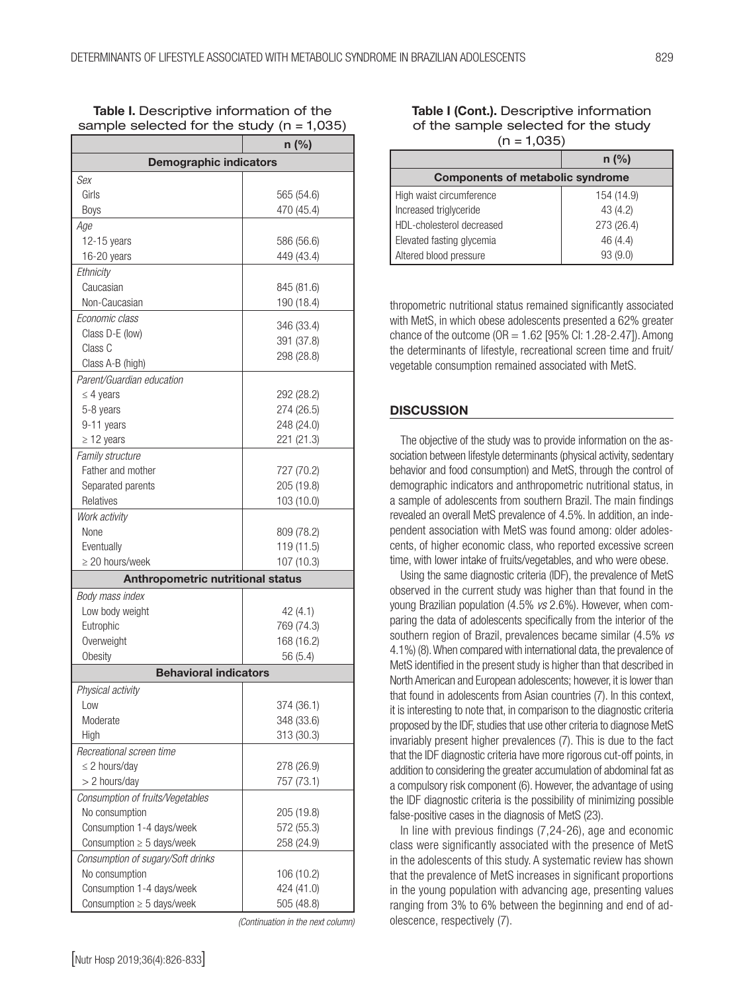|                                   | $n$ (%)    |  |  |  |
|-----------------------------------|------------|--|--|--|
| <b>Demographic indicators</b>     |            |  |  |  |
| Sex                               |            |  |  |  |
| Girls                             | 565 (54.6) |  |  |  |
| Boys                              | 470 (45.4) |  |  |  |
| Age                               |            |  |  |  |
| $12-15$ years                     | 586 (56.6) |  |  |  |
| 16-20 years                       | 449 (43.4) |  |  |  |
| Ethnicity                         |            |  |  |  |
| Caucasian                         | 845 (81.6) |  |  |  |
| Non-Caucasian                     | 190 (18.4) |  |  |  |
| Economic class                    |            |  |  |  |
| Class D-E (low)                   | 346 (33.4) |  |  |  |
| Class C                           | 391 (37.8) |  |  |  |
| Class A-B (high)                  | 298 (28.8) |  |  |  |
| Parent/Guardian education         |            |  |  |  |
| $\leq$ 4 years                    | 292 (28.2) |  |  |  |
| 5-8 years                         | 274 (26.5) |  |  |  |
| 9-11 years                        | 248 (24.0) |  |  |  |
| $\geq$ 12 years                   | 221 (21.3) |  |  |  |
| Family structure                  |            |  |  |  |
| Father and mother                 | 727 (70.2) |  |  |  |
| Separated parents                 | 205 (19.8) |  |  |  |
| Relatives                         | 103 (10.0) |  |  |  |
| Work activity                     |            |  |  |  |
| None                              | 809 (78.2) |  |  |  |
| Eventually                        | 119 (11.5) |  |  |  |
| $\geq$ 20 hours/week              | 107 (10.3) |  |  |  |
| Anthropometric nutritional status |            |  |  |  |
|                                   |            |  |  |  |
| Body mass index                   |            |  |  |  |
| Low body weight                   | 42(4.1)    |  |  |  |
| Eutrophic                         | 769 (74.3) |  |  |  |
| Overweight                        | 168 (16.2) |  |  |  |
| Obesity                           | 56 (5.4)   |  |  |  |
| <b>Behavioral indicators</b>      |            |  |  |  |
| Physical activity                 |            |  |  |  |
| Low                               | 374 (36.1) |  |  |  |
| Moderate                          | 348 (33.6) |  |  |  |
| High                              | 313 (30.3) |  |  |  |
| Recreational screen time          |            |  |  |  |
| $\leq$ 2 hours/day                | 278 (26.9) |  |  |  |
| > 2 hours/day                     | 757 (73.1) |  |  |  |
| Consumption of fruits/Vegetables  |            |  |  |  |
| No consumption                    | 205 (19.8) |  |  |  |
| Consumption 1-4 days/week         | 572 (55.3) |  |  |  |
| Consumption $\geq 5$ days/week    | 258 (24.9) |  |  |  |
| Consumption of sugary/Soft drinks |            |  |  |  |
| No consumption                    | 106 (10.2) |  |  |  |
| Consumption 1-4 days/week         | 424 (41.0) |  |  |  |
| Consumption $\geq 5$ days/week    | 505 (48.8) |  |  |  |

Table I. Descriptive information of the sample selected for the study  $(n = 1,035)$ 

*(Continuation in the next column)*

# Table I (Cont.). Descriptive information of the sample selected for the study  $(n = 1,035)$

|                                         | $n$ (%)    |  |  |  |
|-----------------------------------------|------------|--|--|--|
| <b>Components of metabolic syndrome</b> |            |  |  |  |
| High waist circumference                | 154 (14.9) |  |  |  |
| Increased triglyceride                  | 43 (4.2)   |  |  |  |
| HDL-cholesterol decreased               | 273 (26.4) |  |  |  |
| Elevated fasting glycemia               | 46 (4.4)   |  |  |  |
| Altered blood pressure                  | 93 (9.0)   |  |  |  |

thropometric nutritional status remained significantly associated with MetS, in which obese adolescents presented a 62% greater chance of the outcome ( $OR = 1.62$  [95% Cl: 1.28-2.47]). Among the determinants of lifestyle, recreational screen time and fruit/ vegetable consumption remained associated with MetS.

# **DISCUSSION**

The objective of the study was to provide information on the association between lifestyle determinants (physical activity, sedentary behavior and food consumption) and MetS, through the control of demographic indicators and anthropometric nutritional status, in a sample of adolescents from southern Brazil. The main findings revealed an overall MetS prevalence of 4.5%. In addition, an independent association with MetS was found among: older adolescents, of higher economic class, who reported excessive screen time, with lower intake of fruits/vegetables, and who were obese.

Using the same diagnostic criteria (IDF), the prevalence of MetS observed in the current study was higher than that found in the young Brazilian population (4.5% *vs* 2.6%). However, when comparing the data of adolescents specifically from the interior of the southern region of Brazil, prevalences became similar (4.5% *vs* 4.1%) (8). When compared with international data, the prevalence of MetS identified in the present study is higher than that described in North American and European adolescents; however, it is lower than that found in adolescents from Asian countries (7). In this context, it is interesting to note that, in comparison to the diagnostic criteria proposed by the IDF, studies that use other criteria to diagnose MetS invariably present higher prevalences (7). This is due to the fact that the IDF diagnostic criteria have more rigorous cut-off points, in addition to considering the greater accumulation of abdominal fat as a compulsory risk component (6). However, the advantage of using the IDF diagnostic criteria is the possibility of minimizing possible false-positive cases in the diagnosis of MetS (23).

In line with previous findings (7,24-26), age and economic class were significantly associated with the presence of MetS in the adolescents of this study. A systematic review has shown that the prevalence of MetS increases in significant proportions in the young population with advancing age, presenting values ranging from 3% to 6% between the beginning and end of adolescence, respectively (7).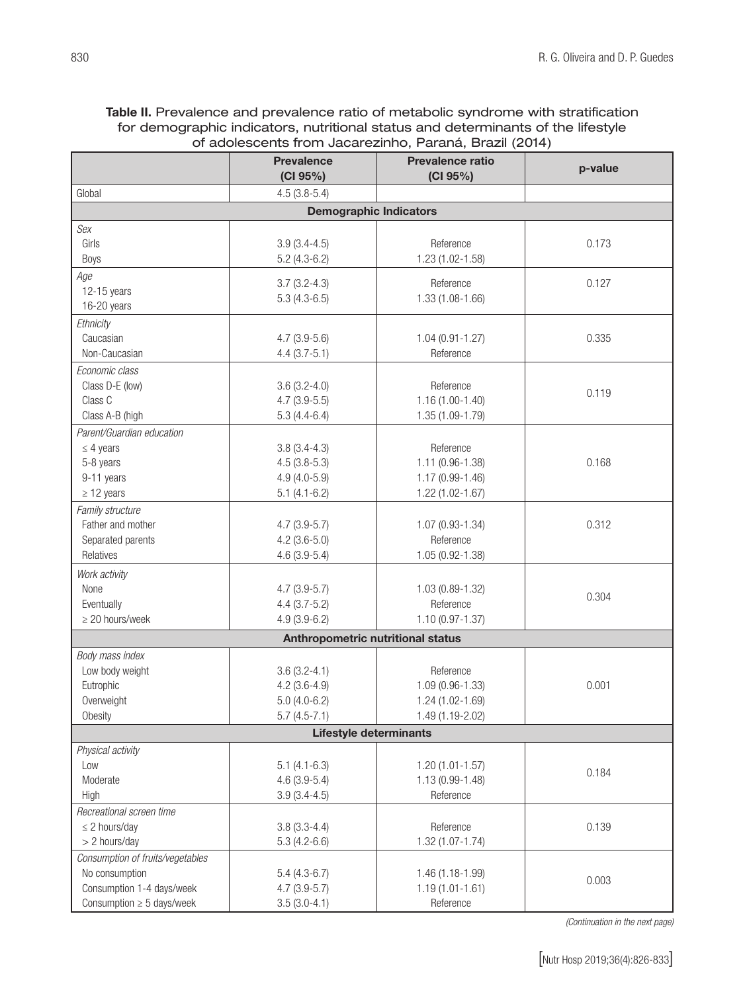| Table II. Prevalence and prevalence ratio of metabolic syndrome with stratification |
|-------------------------------------------------------------------------------------|
| for demographic indicators, nutritional status and determinants of the lifestyle    |
| of adolescents from Jacarezinho, Paraná, Brazil (2014)                              |

|                                   | <b>Prevalence</b><br>(CI 95%) | <b>Prevalence ratio</b><br>(CI 95%) | p-value |  |  |
|-----------------------------------|-------------------------------|-------------------------------------|---------|--|--|
| Global                            | $4.5(3.8-5.4)$                |                                     |         |  |  |
| <b>Demographic Indicators</b>     |                               |                                     |         |  |  |
| Sex                               |                               |                                     |         |  |  |
| Girls                             | $3.9(3.4-4.5)$                | Reference                           | 0.173   |  |  |
| Boys                              | $5.2(4.3-6.2)$                | 1.23 (1.02-1.58)                    |         |  |  |
| Age                               | $3.7(3.2-4.3)$                | Reference                           | 0.127   |  |  |
| $12-15$ years                     | $5.3(4.3-6.5)$                | 1.33 (1.08-1.66)                    |         |  |  |
| 16-20 years                       |                               |                                     |         |  |  |
| Ethnicity                         |                               |                                     |         |  |  |
| Caucasian                         | $4.7(3.9-5.6)$                | $1.04(0.91 - 1.27)$                 | 0.335   |  |  |
| Non-Caucasian                     | $4.4(3.7-5.1)$                | Reference                           |         |  |  |
| Economic class                    |                               |                                     |         |  |  |
| Class D-E (low)                   | $3.6(3.2-4.0)$                | Reference                           | 0.119   |  |  |
| Class C                           | $4.7(3.9-5.5)$                | $1.16(1.00-1.40)$                   |         |  |  |
| Class A-B (high                   | $5.3(4.4-6.4)$                | 1.35 (1.09-1.79)                    |         |  |  |
| Parent/Guardian education         |                               |                                     |         |  |  |
| $\leq$ 4 years                    | $3.8(3.4-4.3)$                | Reference                           |         |  |  |
| 5-8 years                         | $4.5(3.8-5.3)$                | 1.11 (0.96-1.38)                    | 0.168   |  |  |
| 9-11 years                        | $4.9(4.0-5.9)$                | 1.17 (0.99-1.46)                    |         |  |  |
| $\geq$ 12 years                   | $5.1(4.1-6.2)$                | 1.22 (1.02-1.67)                    |         |  |  |
| Family structure                  |                               |                                     |         |  |  |
| Father and mother                 | $4.7(3.9-5.7)$                | 1.07 (0.93-1.34)                    | 0.312   |  |  |
| Separated parents                 | $4.2(3.6-5.0)$                | Reference                           |         |  |  |
| Relatives                         | $4.6(3.9-5.4)$                | 1.05 (0.92-1.38)                    |         |  |  |
| Work activity                     |                               |                                     |         |  |  |
| None                              | $4.7(3.9-5.7)$                | 1.03 (0.89-1.32)                    | 0.304   |  |  |
| Eventually                        | $4.4(3.7-5.2)$                | Reference                           |         |  |  |
| $\geq$ 20 hours/week              | $4.9(3.9-6.2)$                | $1.10(0.97 - 1.37)$                 |         |  |  |
| Anthropometric nutritional status |                               |                                     |         |  |  |
| Body mass index                   |                               |                                     |         |  |  |
| Low body weight                   | $3.6(3.2 - 4.1)$              | Reference                           |         |  |  |
| Eutrophic                         | $4.2(3.6-4.9)$                | $1.09(0.96 - 1.33)$                 | 0.001   |  |  |
| Overweight                        | $5.0(4.0-6.2)$                | 1.24 (1.02-1.69)                    |         |  |  |
| Obesity                           | $5.7(4.5-7.1)$                | 1.49 (1.19-2.02)                    |         |  |  |
|                                   | <b>Lifestyle determinants</b> |                                     |         |  |  |
| Physical activity                 |                               |                                     |         |  |  |
| Low                               | $5.1(4.1-6.3)$                | $1.20(1.01 - 1.57)$                 | 0.184   |  |  |
| Moderate                          | $4.6(3.9-5.4)$                | 1.13 (0.99-1.48)                    |         |  |  |
| High                              | $3.9(3.4-4.5)$                | Reference                           |         |  |  |
| Recreational screen time          |                               |                                     |         |  |  |
| $\leq$ 2 hours/day                | $3.8(3.3-4.4)$                | Reference                           | 0.139   |  |  |
| > 2 hours/day                     | $5.3(4.2-6.6)$                | 1.32 (1.07-1.74)                    |         |  |  |
| Consumption of fruits/vegetables  |                               |                                     |         |  |  |
| No consumption                    | $5.4(4.3-6.7)$                | 1.46 (1.18-1.99)                    | 0.003   |  |  |
| Consumption 1-4 days/week         | $4.7(3.9-5.7)$                | $1.19(1.01 - 1.61)$                 |         |  |  |
| Consumption $\geq 5$ days/week    | $3.5(3.0-4.1)$                | Reference                           |         |  |  |

*(Continuation in the next page)*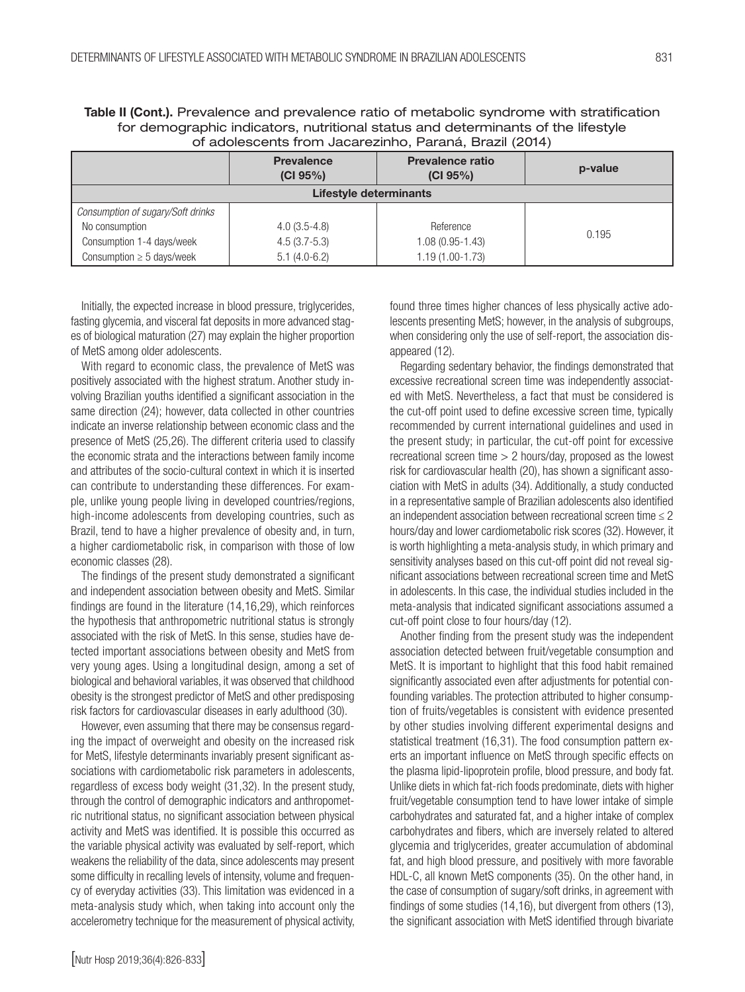5.1 (4.0-6.2)

| of adolescents from Jacarezinno, Parana, Brazil (2014) |                               |                                     |         |
|--------------------------------------------------------|-------------------------------|-------------------------------------|---------|
|                                                        | <b>Prevalence</b><br>(CI 95%) | <b>Prevalence ratio</b><br>(CI 95%) | p-value |
| Lifestyle determinants                                 |                               |                                     |         |
| Consumption of sugary/Soft drinks                      |                               |                                     |         |
| No consumption                                         | $4.0(3.5-4.8)$                | Reference                           | 0.195   |
| Consumption 1-4 days/week                              | $4.5(3.7-5.3)$                | $1.08(0.95 - 1.43)$                 |         |

1.19 (1.00-1.73)

Table II (Cont.). Prevalence and prevalence ratio of metabolic syndrome with stratification for demographic indicators, nutritional status and determinants of the lifestyle of adolescents from Jacarezinho, Paraná, Brazil (2014)

Initially, the expected increase in blood pressure, triglycerides, fasting glycemia, and visceral fat deposits in more advanced stages of biological maturation (27) may explain the higher proportion of MetS among older adolescents.

Consumption  $\geq$  5 days/week

With regard to economic class, the prevalence of MetS was positively associated with the highest stratum. Another study involving Brazilian youths identified a significant association in the same direction (24); however, data collected in other countries indicate an inverse relationship between economic class and the presence of MetS (25,26). The different criteria used to classify the economic strata and the interactions between family income and attributes of the socio-cultural context in which it is inserted can contribute to understanding these differences. For example, unlike young people living in developed countries/regions, high-income adolescents from developing countries, such as Brazil, tend to have a higher prevalence of obesity and, in turn, a higher cardiometabolic risk, in comparison with those of low economic classes (28).

The findings of the present study demonstrated a significant and independent association between obesity and MetS. Similar findings are found in the literature (14,16,29), which reinforces the hypothesis that anthropometric nutritional status is strongly associated with the risk of MetS. In this sense, studies have detected important associations between obesity and MetS from very young ages. Using a longitudinal design, among a set of biological and behavioral variables, it was observed that childhood obesity is the strongest predictor of MetS and other predisposing risk factors for cardiovascular diseases in early adulthood (30).

However, even assuming that there may be consensus regarding the impact of overweight and obesity on the increased risk for MetS, lifestyle determinants invariably present significant associations with cardiometabolic risk parameters in adolescents, regardless of excess body weight (31,32). In the present study, through the control of demographic indicators and anthropometric nutritional status, no significant association between physical activity and MetS was identified. It is possible this occurred as the variable physical activity was evaluated by self-report, which weakens the reliability of the data, since adolescents may present some difficulty in recalling levels of intensity, volume and frequency of everyday activities (33). This limitation was evidenced in a meta-analysis study which, when taking into account only the accelerometry technique for the measurement of physical activity, found three times higher chances of less physically active adolescents presenting MetS; however, in the analysis of subgroups, when considering only the use of self-report, the association disappeared (12).

Regarding sedentary behavior, the findings demonstrated that excessive recreational screen time was independently associated with MetS. Nevertheless, a fact that must be considered is the cut-off point used to define excessive screen time, typically recommended by current international guidelines and used in the present study; in particular, the cut-off point for excessive recreational screen time > 2 hours/day, proposed as the lowest risk for cardiovascular health (20), has shown a significant association with MetS in adults (34). Additionally, a study conducted in a representative sample of Brazilian adolescents also identified an independent association between recreational screen time  $\leq 2$ hours/day and lower cardiometabolic risk scores (32). However, it is worth highlighting a meta-analysis study, in which primary and sensitivity analyses based on this cut-off point did not reveal significant associations between recreational screen time and MetS in adolescents. In this case, the individual studies included in the meta-analysis that indicated significant associations assumed a cut-off point close to four hours/day (12).

Another finding from the present study was the independent association detected between fruit/vegetable consumption and MetS. It is important to highlight that this food habit remained significantly associated even after adjustments for potential confounding variables. The protection attributed to higher consumption of fruits/vegetables is consistent with evidence presented by other studies involving different experimental designs and statistical treatment (16,31). The food consumption pattern exerts an important influence on MetS through specific effects on the plasma lipid-lipoprotein profile, blood pressure, and body fat. Unlike diets in which fat-rich foods predominate, diets with higher fruit/vegetable consumption tend to have lower intake of simple carbohydrates and saturated fat, and a higher intake of complex carbohydrates and fibers, which are inversely related to altered glycemia and triglycerides, greater accumulation of abdominal fat, and high blood pressure, and positively with more favorable HDL-C, all known MetS components (35). On the other hand, in the case of consumption of sugary/soft drinks, in agreement with findings of some studies (14,16), but divergent from others (13), the significant association with MetS identified through bivariate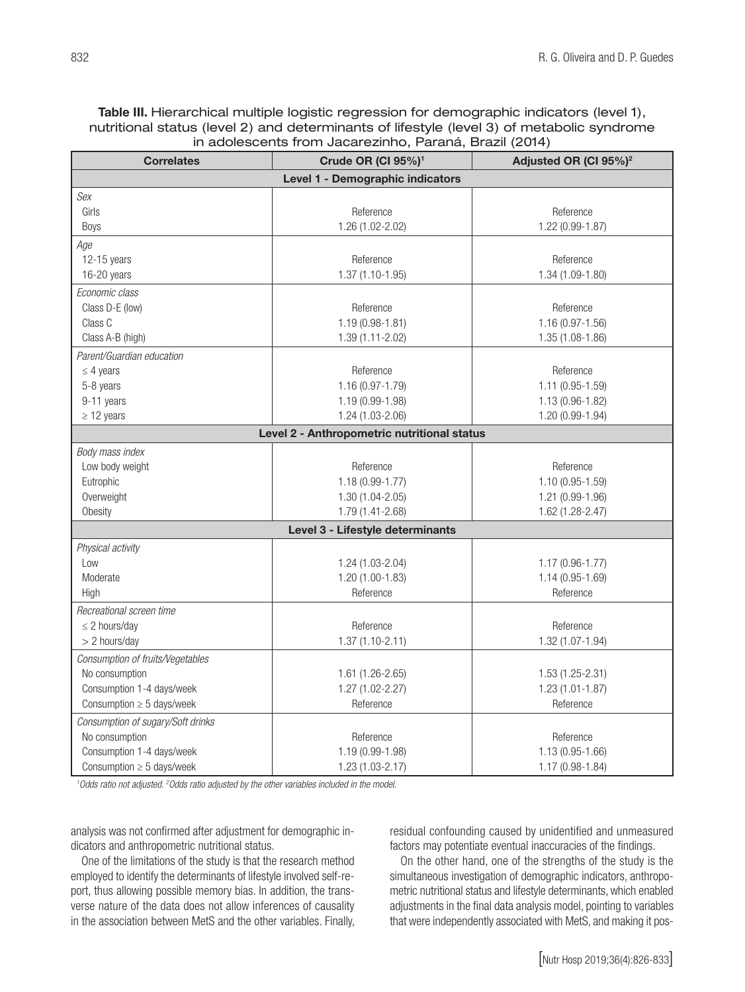# Table III. Hierarchical multiple logistic regression for demographic indicators (level 1), nutritional status (level 2) and determinants of lifestyle (level 3) of metabolic syndrome in adolescents from Jacarezinho, Paraná, Brazil (2014)

| <b>Correlates</b>                 | Crude OR (CI 95%) <sup>1</sup>              | Adjusted OR (CI 95%) <sup>2</sup> |  |  |  |
|-----------------------------------|---------------------------------------------|-----------------------------------|--|--|--|
| Level 1 - Demographic indicators  |                                             |                                   |  |  |  |
| Sex                               |                                             |                                   |  |  |  |
| Girls                             | Reference                                   | Reference                         |  |  |  |
| <b>Boys</b>                       | 1.26 (1.02-2.02)                            | 1.22 (0.99-1.87)                  |  |  |  |
| Age                               |                                             |                                   |  |  |  |
| 12-15 years                       | Reference                                   | Reference                         |  |  |  |
| 16-20 years                       | 1.37 (1.10-1.95)                            | 1.34 (1.09-1.80)                  |  |  |  |
| Economic class                    |                                             |                                   |  |  |  |
| Class D-E (low)                   | Reference                                   | Reference                         |  |  |  |
| Class C                           | $1.19(0.98 - 1.81)$                         | 1.16 (0.97-1.56)                  |  |  |  |
| Class A-B (high)                  | 1.39 (1.11-2.02)                            | 1.35 (1.08-1.86)                  |  |  |  |
| Parent/Guardian education         |                                             |                                   |  |  |  |
| $\leq$ 4 years                    | Reference                                   | Reference                         |  |  |  |
| 5-8 years                         | 1.16 (0.97-1.79)                            | 1.11 (0.95-1.59)                  |  |  |  |
| 9-11 years                        | 1.19 (0.99-1.98)                            | 1.13 (0.96-1.82)                  |  |  |  |
| $\geq$ 12 years                   | 1.24 (1.03-2.06)                            | 1.20 (0.99-1.94)                  |  |  |  |
|                                   | Level 2 - Anthropometric nutritional status |                                   |  |  |  |
| Body mass index                   |                                             |                                   |  |  |  |
| Low body weight                   | Reference                                   | Reference                         |  |  |  |
| Eutrophic                         | $1.18(0.99 - 1.77)$                         | $1.10(0.95 - 1.59)$               |  |  |  |
| Overweight                        | $1.30(1.04 - 2.05)$                         | 1.21 (0.99-1.96)                  |  |  |  |
| Obesity                           | 1.79 (1.41-2.68)                            | 1.62 (1.28-2.47)                  |  |  |  |
|                                   | Level 3 - Lifestyle determinants            |                                   |  |  |  |
| Physical activity                 |                                             |                                   |  |  |  |
| Low                               | 1.24 (1.03-2.04)                            | $1.17(0.96 - 1.77)$               |  |  |  |
| Moderate                          | 1.20 (1.00-1.83)                            | 1.14 (0.95-1.69)                  |  |  |  |
| High                              | Reference                                   | Reference                         |  |  |  |
| Recreational screen time          |                                             |                                   |  |  |  |
| $\leq$ 2 hours/day                | Reference                                   | Reference                         |  |  |  |
| > 2 hours/day                     | $1.37(1.10-2.11)$                           | 1.32 (1.07-1.94)                  |  |  |  |
| Consumption of fruits/Vegetables  |                                             |                                   |  |  |  |
| No consumption                    | 1.61 (1.26-2.65)                            | $1.53(1.25 - 2.31)$               |  |  |  |
| Consumption 1-4 days/week         | $1.27(1.02 - 2.27)$                         | $1.23(1.01 - 1.87)$               |  |  |  |
| Consumption $\geq 5$ days/week    | Reference                                   | Reference                         |  |  |  |
| Consumption of sugary/Soft drinks |                                             |                                   |  |  |  |
| No consumption                    | Reference                                   | Reference                         |  |  |  |
| Consumption 1-4 days/week         | 1.19 (0.99-1.98)                            | 1.13 (0.95-1.66)                  |  |  |  |
| Consumption $\geq 5$ days/week    | 1.23 (1.03-2.17)                            | 1.17 (0.98-1.84)                  |  |  |  |

<sup>1</sup> Odds ratio not adjusted. <sup>2</sup> Odds ratio adjusted by the other variables included in the model.

analysis was not confirmed after adjustment for demographic indicators and anthropometric nutritional status.

One of the limitations of the study is that the research method employed to identify the determinants of lifestyle involved self-report, thus allowing possible memory bias. In addition, the transverse nature of the data does not allow inferences of causality in the association between MetS and the other variables. Finally, residual confounding caused by unidentified and unmeasured factors may potentiate eventual inaccuracies of the findings.

On the other hand, one of the strengths of the study is the simultaneous investigation of demographic indicators, anthropometric nutritional status and lifestyle determinants, which enabled adjustments in the final data analysis model, pointing to variables that were independently associated with MetS, and making it pos